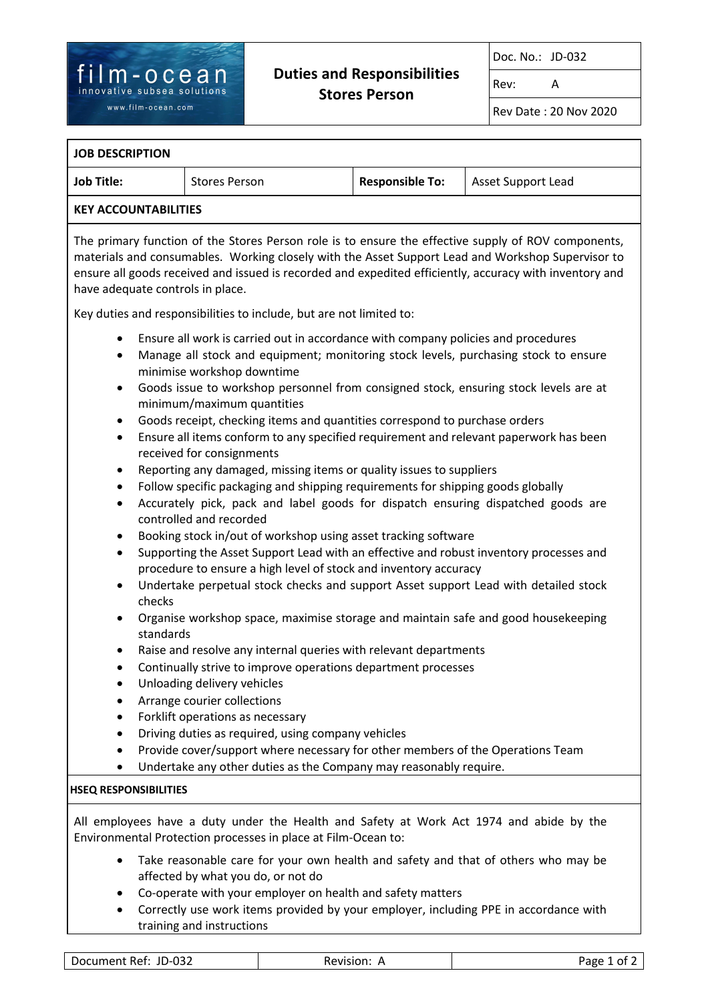# **Duties and Responsibilities Stores Person**

Doc. No.: JD-032

Rev: A

Rev Date : 20 Nov 2020

#### **JOB DESCRIPTION**

| <b>Job Title:</b> | <b>Stores Person</b> | <b>Responsible To:</b> | Asset Support Lead |  |
|-------------------|----------------------|------------------------|--------------------|--|
| $1/5$ $(1/5)$     |                      |                        |                    |  |

#### **KEY ACCOUNTABILITIES**

The primary function of the Stores Person role is to ensure the effective supply of ROV components, materials and consumables. Working closely with the Asset Support Lead and Workshop Supervisor to ensure all goods received and issued is recorded and expedited efficiently, accuracy with inventory and have adequate controls in place.

Key duties and responsibilities to include, but are not limited to:

- Ensure all work is carried out in accordance with company policies and procedures
- Manage all stock and equipment; monitoring stock levels, purchasing stock to ensure minimise workshop downtime
- Goods issue to workshop personnel from consigned stock, ensuring stock levels are at minimum/maximum quantities
- Goods receipt, checking items and quantities correspond to purchase orders
- Ensure all items conform to any specified requirement and relevant paperwork has been received for consignments
- Reporting any damaged, missing items or quality issues to suppliers
- Follow specific packaging and shipping requirements for shipping goods globally
- Accurately pick, pack and label goods for dispatch ensuring dispatched goods are controlled and recorded
- Booking stock in/out of workshop using asset tracking software
- Supporting the Asset Support Lead with an effective and robust inventory processes and procedure to ensure a high level of stock and inventory accuracy
- Undertake perpetual stock checks and support Asset support Lead with detailed stock checks
- Organise workshop space, maximise storage and maintain safe and good housekeeping standards
- Raise and resolve any internal queries with relevant departments
- Continually strive to improve operations department processes
- Unloading delivery vehicles
- Arrange courier collections
- Forklift operations as necessary
- Driving duties as required, using company vehicles
- Provide cover/support where necessary for other members of the Operations Team
- Undertake any other duties as the Company may reasonably require.

#### **HSEQ RESPONSIBILITIES**

All employees have a duty under the Health and Safety at Work Act 1974 and abide by the Environmental Protection processes in place at Film-Ocean to:

- Take reasonable care for your own health and safety and that of others who may be affected by what you do, or not do
- Co-operate with your employer on health and safety matters
- Correctly use work items provided by your employer, including PPE in accordance with training and instructions

| . റാ≏<br>Document Ref:<br>JD-C<br>Revision:<br>ne.<br>∠כ∪־<br>___<br>_______<br>__ | 0t<br>Page<br>. |
|------------------------------------------------------------------------------------|-----------------|
|------------------------------------------------------------------------------------|-----------------|